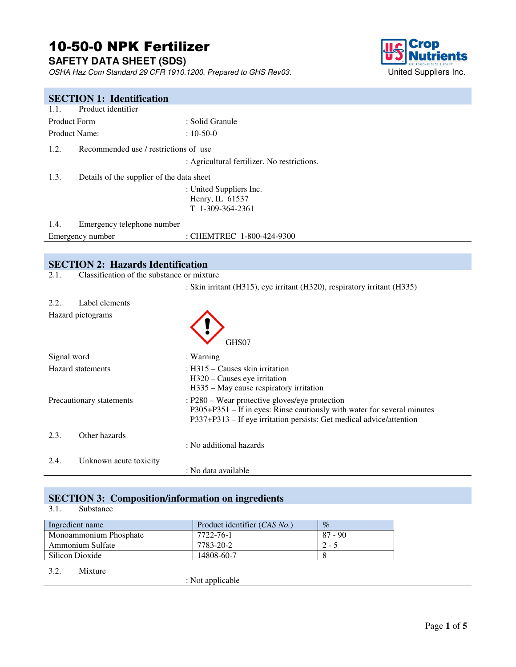# 10-50-0 NPK Fertilizer

**SAFETY DATA SHEET (SDS)** 

OSHA Haz Com Standard 29 CFR 1910.1200. Prepared to GHS Rev03. United Suppliers Inc.



# **SECTION 1: Identification** 1.1. Product identifier Product Form : Solid Granule Product Name:  $10-50-0$ 1.2. Recommended use / restrictions of use : Agricultural fertilizer. No restrictions. 1.3. Details of the supplier of the data sheet : United Suppliers Inc. Henry, IL 61537 T 1-309-364-2361 1.4. Emergency telephone number Emergency number : CHEMTREC 1-800-424-9300 **SECTION 2: Hazards Identification** 2.1. Classification of the substance or mixture : Skin irritant (H315), eye irritant (H320), respiratory irritant (H335) 2.2. Label elements Hazard pictograms GHS07 Signal word : Warning Hazard statements : H315 – Causes skin irritation H320 – Causes eye irritation H335 – May cause respiratory irritation Precautionary statements : P280 – Wear protective gloves/eye protection P305+P351 – If in eyes: Rinse cautiously with water for several minutes P337+P313 – If eye irritation persists: Get medical advice/attention

2.4. Unknown acute toxicity

: No data available

: No additional hazards

#### **SECTION 3: Composition/information on ingredients**

#### 3.1. Substance

2.3. Other hazards

| Ingredient name        | Product identifier (CAS No.) | $\%$      |
|------------------------|------------------------------|-----------|
| Monoammonium Phosphate | 7722-76-1                    | $87 - 90$ |
| Ammonium Sulfate       | 7783-20-2                    | $2 - 5$   |
| Silicon Dioxide        | 14808-60-7                   |           |

#### 3.2. Mixture

: Not applicable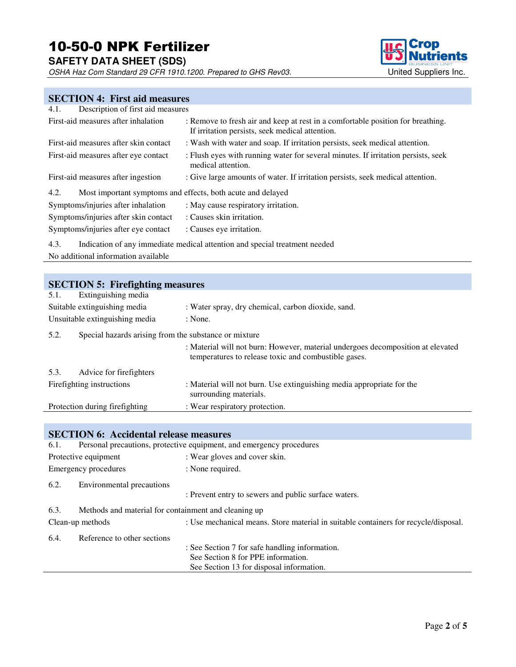# 10-50-0 NPK Fertilizer

**SAFETY DATA SHEET (SDS)** 

OSHA Haz Com Standard 29 CFR 1910.1200. Prepared to GHS Rev03. United Suppliers Inc.



## **SECTION 4: First aid measures**

| Description of first aid measures<br>4.1.                           |                                                                                                                                    |
|---------------------------------------------------------------------|------------------------------------------------------------------------------------------------------------------------------------|
| First-aid measures after inhalation                                 | : Remove to fresh air and keep at rest in a comfortable position for breathing.<br>If irritation persists, seek medical attention. |
| First-aid measures after skin contact                               | : Wash with water and soap. If irritation persists, seek medical attention.                                                        |
| First-aid measures after eye contact                                | : Flush eyes with running water for several minutes. If irritation persists, seek<br>medical attention.                            |
| First-aid measures after ingestion                                  | : Give large amounts of water. If irritation persists, seek medical attention.                                                     |
| Most important symptoms and effects, both acute and delayed<br>4.2. |                                                                                                                                    |
| Symptoms/injuries after inhalation                                  | : May cause respiratory irritation.                                                                                                |
| Symptoms/injuries after skin contact                                | : Causes skin irritation.                                                                                                          |
| Symptoms/injuries after eye contact                                 | : Causes eye irritation.                                                                                                           |
| 4.3.                                                                | Indication of any immediate medical attention and special treatment needed                                                         |
| No additional information available                                 |                                                                                                                                    |

| <b>SECTION 5: Firefighting measures</b> |                                                       |                                                                                                                                         |
|-----------------------------------------|-------------------------------------------------------|-----------------------------------------------------------------------------------------------------------------------------------------|
| Extinguishing media<br>5.1.             |                                                       |                                                                                                                                         |
| Suitable extinguishing media            |                                                       | : Water spray, dry chemical, carbon dioxide, sand.                                                                                      |
| Unsuitable extinguishing media          | : None.                                               |                                                                                                                                         |
| 5.2.                                    | Special hazards arising from the substance or mixture |                                                                                                                                         |
|                                         |                                                       | : Material will not burn: However, material undergoes decomposition at elevated<br>temperatures to release toxic and combustible gases. |
| 5.3.<br>Advice for firefighters         |                                                       |                                                                                                                                         |
| Fire fighting instructions              |                                                       | : Material will not burn. Use extinguishing media appropriate for the<br>surrounding materials.                                         |
| Protection during fire fighting         |                                                       | : Wear respiratory protection.                                                                                                          |

## **SECTION 6: Accidental release measures**

| 6.1. |                                                      | Personal precautions, protective equipment, and emergency procedures                |
|------|------------------------------------------------------|-------------------------------------------------------------------------------------|
|      | Protective equipment                                 | : Wear gloves and cover skin.                                                       |
|      | Emergency procedures                                 | : None required.                                                                    |
| 6.2. | Environmental precautions                            | : Prevent entry to sewers and public surface waters.                                |
| 6.3. | Methods and material for containment and cleaning up |                                                                                     |
|      | Clean-up methods                                     | : Use mechanical means. Store material in suitable containers for recycle/disposal. |
| 6.4. | Reference to other sections                          |                                                                                     |
|      |                                                      | : See Section 7 for safe handling information.                                      |
|      |                                                      | See Section 8 for PPE information.                                                  |
|      |                                                      | See Section 13 for disposal information.                                            |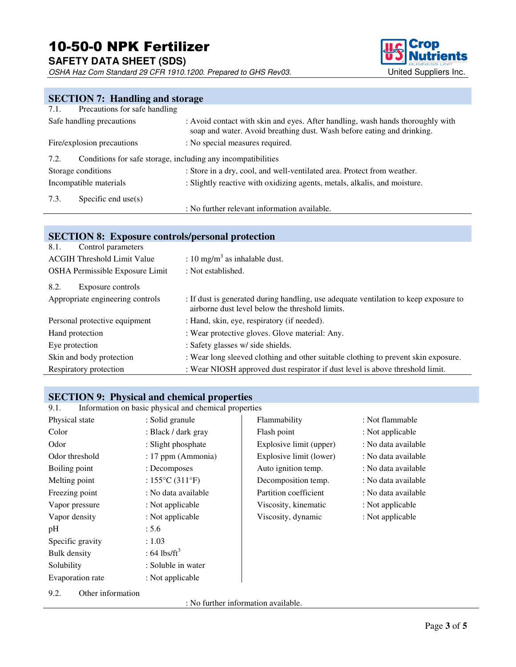**SAFETY DATA SHEET (SDS)** 

OSHA Haz Com Standard 29 CFR 1910.1200. Prepared to GHS Rev03. United Suppliers Inc.



# **SECTION 7: Handling and storage**

| 7.1. | Precautions for safe handling                                |                                                                                                                                                          |
|------|--------------------------------------------------------------|----------------------------------------------------------------------------------------------------------------------------------------------------------|
|      | Safe handling precautions                                    | : Avoid contact with skin and eyes. After handling, wash hands thoroughly with<br>soap and water. Avoid breathing dust. Wash before eating and drinking. |
|      | Fire/explosion precautions                                   | : No special measures required.                                                                                                                          |
| 7.2. | Conditions for safe storage, including any incompatibilities |                                                                                                                                                          |
|      | Storage conditions                                           | : Store in a dry, cool, and well-ventilated area. Protect from weather.                                                                                  |
|      | Incompatible materials                                       | : Slightly reactive with oxidizing agents, metals, alkalis, and moisture.                                                                                |
| 7.3. | Specific end use $(s)$                                       |                                                                                                                                                          |
|      |                                                              | : No further relevant information available.                                                                                                             |

#### **SECTION 8: Exposure controls/personal protection**

| 8.1.<br>Control parameters         |                                                                                                                                         |
|------------------------------------|-----------------------------------------------------------------------------------------------------------------------------------------|
| <b>ACGIH Threshold Limit Value</b> | : 10 mg/m <sup>3</sup> as inhalable dust.                                                                                               |
| OSHA Permissible Exposure Limit    | : Not established.                                                                                                                      |
| 8.2.<br>Exposure controls          |                                                                                                                                         |
| Appropriate engineering controls   | : If dust is generated during handling, use adequate ventilation to keep exposure to<br>airborne dust level below the threshold limits. |
| Personal protective equipment      | : Hand, skin, eye, respiratory (if needed).                                                                                             |
| Hand protection                    | : Wear protective gloves. Glove material: Any.                                                                                          |
| Eye protection                     | : Safety glasses w/ side shields.                                                                                                       |
| Skin and body protection           | : Wear long sleeved clothing and other suitable clothing to prevent skin exposure.                                                      |
| Respiratory protection             | : Wear NIOSH approved dust respirator if dust level is above threshold limit.                                                           |

# **SECTION 9: Physical and chemical properties**<br>9.1. Information on basic physical and chemical properties

Information on basic physical and chemical properties

| Physical state      | : Solid granule                      | Flammability            | : Not flammable     |
|---------------------|--------------------------------------|-------------------------|---------------------|
| Color               | : Black / dark gray                  | Flash point             | : Not applicable    |
| Odor                | : Slight phosphate                   | Explosive limit (upper) | : No data available |
| Odor threshold      | : 17 ppm (Ammonia)                   | Explosive limit (lower) | : No data available |
| Boiling point       | : Decomposes                         | Auto ignition temp.     | : No data available |
| Melting point       | : $155^{\circ}$ C (311 $^{\circ}$ F) | Decomposition temp.     | : No data available |
| Freezing point      | : No data available                  | Partition coefficient   | : No data available |
| Vapor pressure      | : Not applicable                     | Viscosity, kinematic    | : Not applicable    |
| Vapor density       | : Not applicable                     | Viscosity, dynamic      | : Not applicable    |
| pH                  | : 5.6                                |                         |                     |
| Specific gravity    | : 1.03                               |                         |                     |
| <b>Bulk</b> density | : 64 lbs/ft <sup>3</sup>             |                         |                     |
| Solubility          | : Soluble in water                   |                         |                     |
| Evaporation rate    | : Not applicable                     |                         |                     |

#### 9.2. Other information

: No further information available.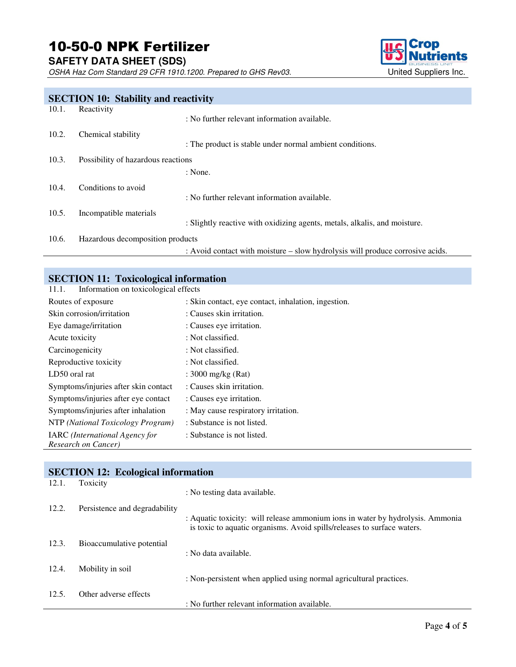**SAFETY DATA SHEET (SDS)** 

OSHA Haz Com Standard 29 CFR 1910.1200. Prepared to GHS Rev03. United Suppliers Inc.



# **SECTION 10: Stability and reactivity** 10.1. Reactivity Reactivity : No further relevant information available. 10.2. Chemical stability : The product is stable under normal ambient conditions. 10.3. Possibility of hazardous reactions : None. 10.4. Conditions to avoid : No further relevant information available. 10.5. Incompatible materials : Slightly reactive with oxidizing agents, metals, alkalis, and moisture. 10.6. Hazardous decomposition products : Avoid contact with moisture – slow hydrolysis will produce corrosive acids.

# **SECTION 11: Toxicological information**

11.1. Information on toxicological effects

| Routes of exposure                                    | : Skin contact, eye contact, inhalation, ingestion. |
|-------------------------------------------------------|-----------------------------------------------------|
| Skin corrosion/irritation                             | : Causes skin irritation.                           |
| Eye damage/irritation                                 | : Causes eye irritation.                            |
| Acute toxicity                                        | : Not classified.                                   |
| Carcinogenicity                                       | : Not classified.                                   |
| Reproductive toxicity                                 | : Not classified.                                   |
| LD50 oral rat                                         | : 3000 mg/kg $(Rat)$                                |
| Symptoms/injuries after skin contact                  | : Causes skin irritation.                           |
| Symptoms/injuries after eye contact                   | : Causes eye irritation.                            |
| Symptoms/injuries after inhalation                    | : May cause respiratory irritation.                 |
| NTP (National Toxicology Program)                     | : Substance is not listed.                          |
| IARC (International Agency for<br>Research on Cancer) | : Substance is not listed.                          |

|       | <b>SECTION 12: Ecological information</b> |                                                                                                                                                           |
|-------|-------------------------------------------|-----------------------------------------------------------------------------------------------------------------------------------------------------------|
| 12.1. | Toxicity                                  | : No testing data available.                                                                                                                              |
| 12.2. | Persistence and degradability             |                                                                                                                                                           |
|       |                                           | : Aquatic toxicity: will release ammonium ions in water by hydrolysis. Ammonia<br>is toxic to aquatic organisms. Avoid spills/releases to surface waters. |
| 12.3. | Bioaccumulative potential                 | : No data available.                                                                                                                                      |
| 12.4. | Mobility in soil                          | : Non-persistent when applied using normal agricultural practices.                                                                                        |
| 12.5. | Other adverse effects                     | : No further relevant information available.                                                                                                              |